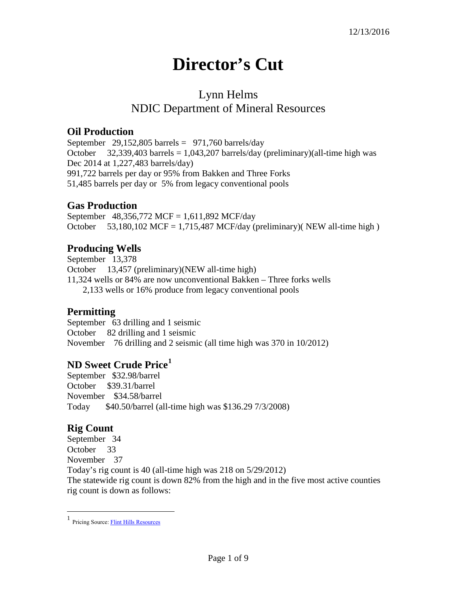# **Director's Cut**

# Lynn Helms NDIC Department of Mineral Resources

#### **Oil Production**

September 29,152,805 barrels =  $971,760$  barrels/day October  $32,339,403$  barrels = 1,043,207 barrels/day (preliminary)(all-time high was Dec 2014 at 1,227,483 barrels/day) 991,722 barrels per day or 95% from Bakken and Three Forks 51,485 barrels per day or 5% from legacy conventional pools

## **Gas Production**

September 48,356,772 MCF = 1,611,892 MCF/day October  $53,180,102$  MCF = 1,715,487 MCF/day (preliminary)(NEW all-time high)

## **Producing Wells**

September 13,378 October 13,457 (preliminary)(NEW all-time high) 11,324 wells or 84% are now unconventional Bakken – Three forks wells 2,133 wells or 16% produce from legacy conventional pools

## **Permitting**

September 63 drilling and 1 seismic October 82 drilling and 1 seismic November 76 drilling and 2 seismic (all time high was 370 in 10/2012)

## **ND Sweet Crude Price[1](#page-0-0)**

September \$32.98/barrel October \$39.31/barrel November \$34.58/barrel Today \$40.50/barrel (all-time high was \$136.29 7/3/2008)

#### **Rig Count**

 $\overline{a}$ 

September 34 October 33 November 37 Today's rig count is 40 (all-time high was 218 on 5/29/2012) The statewide rig count is down 82% from the high and in the five most active counties rig count is down as follows:

<span id="page-0-0"></span><sup>1</sup> Pricing Source[: Flint Hills Resources](http://www.fhr.com/refining/bulletins.aspx?AspxAutoDetectCookieSupport=1)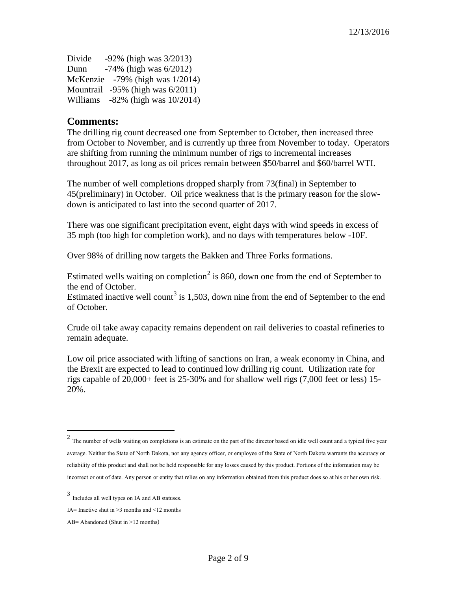| Divide | $-92\%$ (high was $3/2013$ )           |
|--------|----------------------------------------|
| Dunn   | $-74\%$ (high was $6/2012$ )           |
|        | McKenzie $-79\%$ (high was $1/2014$ )  |
|        | Mountrail $-95\%$ (high was $6/2011$ ) |
|        | Williams $-82\%$ (high was $10/2014$ ) |

#### **Comments:**

The drilling rig count decreased one from September to October, then increased three from October to November, and is currently up three from November to today. Operators are shifting from running the minimum number of rigs to incremental increases throughout 2017, as long as oil prices remain between \$50/barrel and \$60/barrel WTI.

The number of well completions dropped sharply from 73(final) in September to 45(preliminary) in October. Oil price weakness that is the primary reason for the slowdown is anticipated to last into the second quarter of 2017.

There was one significant precipitation event, eight days with wind speeds in excess of 35 mph (too high for completion work), and no days with temperatures below -10F.

Over 98% of drilling now targets the Bakken and Three Forks formations.

Estimated wells waiting on completion<sup>[2](#page-1-0)</sup> is 860, down one from the end of September to the end of October.

Estimated inactive well count<sup>[3](#page-1-1)</sup> is 1,503, down nine from the end of September to the end of October.

Crude oil take away capacity remains dependent on rail deliveries to coastal refineries to remain adequate.

Low oil price associated with lifting of sanctions on Iran, a weak economy in China, and the Brexit are expected to lead to continued low drilling rig count. Utilization rate for rigs capable of 20,000+ feet is 25-30% and for shallow well rigs (7,000 feet or less) 15- 20%.

 $\overline{a}$ 

<span id="page-1-0"></span> $2$  The number of wells waiting on completions is an estimate on the part of the director based on idle well count and a typical five year average. Neither the State of North Dakota, nor any agency officer, or employee of the State of North Dakota warrants the accuracy or reliability of this product and shall not be held responsible for any losses caused by this product. Portions of the information may be incorrect or out of date. Any person or entity that relies on any information obtained from this product does so at his or her own risk.

<span id="page-1-1"></span><sup>3</sup> Includes all well types on IA and AB statuses.

IA= Inactive shut in  $\geq$ 3 months and  $\leq$ 12 months

AB= Abandoned (Shut in >12 months)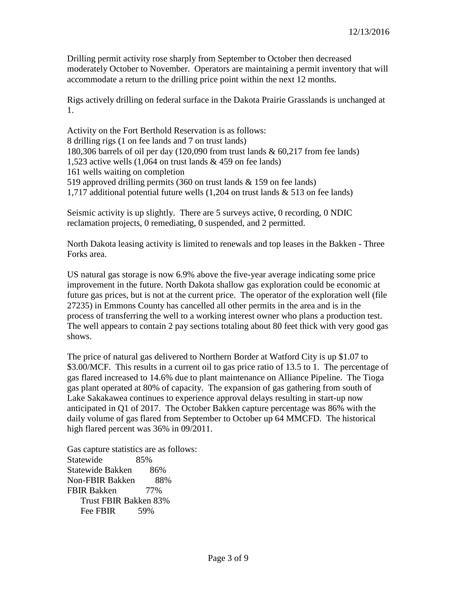Drilling permit activity rose sharply from September to October then decreased moderately October to November. Operators are maintaining a permit inventory that will accommodate a return to the drilling price point within the next 12 months.

Rigs actively drilling on federal surface in the Dakota Prairie Grasslands is unchanged at 1.

Activity on the Fort Berthold Reservation is as follows: 8 drilling rigs (1 on fee lands and 7 on trust lands) 180,306 barrels of oil per day (120,090 from trust lands & 60,217 from fee lands) 1,523 active wells (1,064 on trust lands & 459 on fee lands) 161 wells waiting on completion 519 approved drilling permits (360 on trust lands & 159 on fee lands) 1,717 additional potential future wells (1,204 on trust lands & 513 on fee lands)

Seismic activity is up slightly. There are 5 surveys active, 0 recording, 0 NDIC reclamation projects, 0 remediating, 0 suspended, and 2 permitted.

North Dakota leasing activity is limited to renewals and top leases in the Bakken - Three Forks area.

US natural gas storage is now 6.9% above the five-year average indicating some price improvement in the future. North Dakota shallow gas exploration could be economic at future gas prices, but is not at the current price. The operator of the exploration well (file 27235) in Emmons County has cancelled all other permits in the area and is in the process of transferring the well to a working interest owner who plans a production test. The well appears to contain 2 pay sections totaling about 80 feet thick with very good gas shows.

The price of natural gas delivered to Northern Border at Watford City is up \$1.07 to \$3.00/MCF. This results in a current oil to gas price ratio of 13.5 to 1. The percentage of gas flared increased to 14.6% due to plant maintenance on Alliance Pipeline. The Tioga gas plant operated at 80% of capacity. The expansion of gas gathering from south of Lake Sakakawea continues to experience approval delays resulting in start-up now anticipated in Q1 of 2017. The October Bakken capture percentage was 86% with the daily volume of gas flared from September to October up 64 MMCFD. The historical high flared percent was 36% in 09/2011.

Gas capture statistics are as follows: Statewide 85% Statewide Bakken 86% Non-FBIR Bakken 88% FBIR Bakken 77% Trust FBIR Bakken 83% Fee FBIR 59%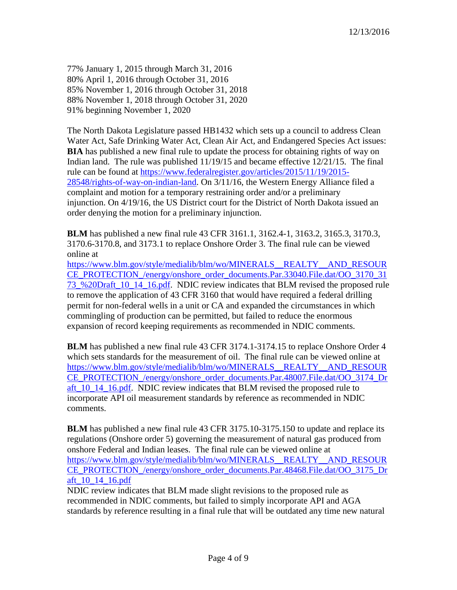77% January 1, 2015 through March 31, 2016 80% April 1, 2016 through October 31, 2016 85% November 1, 2016 through October 31, 2018 88% November 1, 2018 through October 31, 2020 91% beginning November 1, 2020

The North Dakota Legislature passed HB1432 which sets up a council to address Clean Water Act, Safe Drinking Water Act, Clean Air Act, and Endangered Species Act issues: **BIA** has published a new final rule to update the process for obtaining rights of way on Indian land. The rule was published 11/19/15 and became effective 12/21/15. The final rule can be found at [https://www.federalregister.gov/articles/2015/11/19/2015-](https://www.federalregister.gov/articles/2015/11/19/2015-28548/rights-of-way-on-indian-land) [28548/rights-of-way-on-indian-land.](https://www.federalregister.gov/articles/2015/11/19/2015-28548/rights-of-way-on-indian-land) On 3/11/16, the Western Energy Alliance filed a complaint and motion for a temporary restraining order and/or a preliminary injunction. On 4/19/16, the US District court for the District of North Dakota issued an order denying the motion for a preliminary injunction.

**BLM** has published a new final rule 43 CFR 3161.1, 3162.4-1, 3163.2, 3165.3, 3170.3, 3170.6-3170.8, and 3173.1 to replace Onshore Order 3. The final rule can be viewed online at

[https://www.blm.gov/style/medialib/blm/wo/MINERALS\\_\\_REALTY\\_\\_AND\\_RESOUR](https://www.blm.gov/style/medialib/blm/wo/MINERALS__REALTY__AND_RESOURCE_PROTECTION_/energy/onshore_order_documents.Par.33040.File.dat/OO_3170_3173_%20Draft_10_14_16.pdf) [CE\\_PROTECTION\\_/energy/onshore\\_order\\_documents.Par.33040.File.dat/OO\\_3170\\_31](https://www.blm.gov/style/medialib/blm/wo/MINERALS__REALTY__AND_RESOURCE_PROTECTION_/energy/onshore_order_documents.Par.33040.File.dat/OO_3170_3173_%20Draft_10_14_16.pdf) [73\\_%20Draft\\_10\\_14\\_16.pdf.](https://www.blm.gov/style/medialib/blm/wo/MINERALS__REALTY__AND_RESOURCE_PROTECTION_/energy/onshore_order_documents.Par.33040.File.dat/OO_3170_3173_%20Draft_10_14_16.pdf) NDIC review indicates that BLM revised the proposed rule to remove the application of 43 CFR 3160 that would have required a federal drilling permit for non-federal wells in a unit or CA and expanded the circumstances in which commingling of production can be permitted, but failed to reduce the enormous expansion of record keeping requirements as recommended in NDIC comments.

**BLM** has published a new final rule 43 CFR 3174.1-3174.15 to replace Onshore Order 4 which sets standards for the measurement of oil. The final rule can be viewed online at [https://www.blm.gov/style/medialib/blm/wo/MINERALS\\_\\_REALTY\\_\\_AND\\_RESOUR](https://www.blm.gov/style/medialib/blm/wo/MINERALS__REALTY__AND_RESOURCE_PROTECTION_/energy/onshore_order_documents.Par.48007.File.dat/OO_3174_Draft_10_14_16.pdf) [CE\\_PROTECTION\\_/energy/onshore\\_order\\_documents.Par.48007.File.dat/OO\\_3174\\_Dr](https://www.blm.gov/style/medialib/blm/wo/MINERALS__REALTY__AND_RESOURCE_PROTECTION_/energy/onshore_order_documents.Par.48007.File.dat/OO_3174_Draft_10_14_16.pdf) aft 10\_14\_16.pdf. NDIC review indicates that BLM revised the proposed rule to incorporate API oil measurement standards by reference as recommended in NDIC comments.

**BLM** has published a new final rule 43 CFR 3175.10-3175.150 to update and replace its regulations (Onshore order 5) governing the measurement of natural gas produced from onshore Federal and Indian leases. The final rule can be viewed online at [https://www.blm.gov/style/medialib/blm/wo/MINERALS\\_\\_REALTY\\_\\_AND\\_RESOUR](https://www.blm.gov/style/medialib/blm/wo/MINERALS__REALTY__AND_RESOURCE_PROTECTION_/energy/onshore_order_documents.Par.48468.File.dat/OO_3175_Draft_10_14_16.pdf) [CE\\_PROTECTION\\_/energy/onshore\\_order\\_documents.Par.48468.File.dat/OO\\_3175\\_Dr](https://www.blm.gov/style/medialib/blm/wo/MINERALS__REALTY__AND_RESOURCE_PROTECTION_/energy/onshore_order_documents.Par.48468.File.dat/OO_3175_Draft_10_14_16.pdf) [aft\\_10\\_14\\_16.pdf](https://www.blm.gov/style/medialib/blm/wo/MINERALS__REALTY__AND_RESOURCE_PROTECTION_/energy/onshore_order_documents.Par.48468.File.dat/OO_3175_Draft_10_14_16.pdf)

NDIC review indicates that BLM made slight revisions to the proposed rule as recommended in NDIC comments, but failed to simply incorporate API and AGA standards by reference resulting in a final rule that will be outdated any time new natural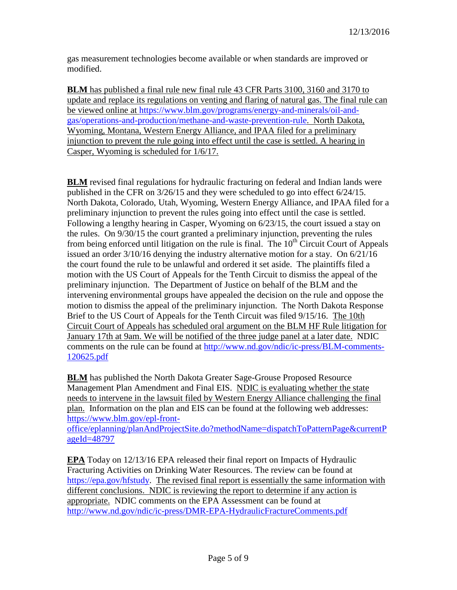gas measurement technologies become available or when standards are improved or modified.

**BLM** has published a final rule new final rule 43 CFR Parts 3100, 3160 and 3170 to update and replace its regulations on venting and flaring of natural gas. The final rule can be viewed online at [https://www.blm.gov/programs/energy-and-minerals/oil-and](https://www.blm.gov/programs/energy-and-minerals/oil-and-gas/operations-and-production/methane-and-waste-prevention-rule)[gas/operations-and-production/methane-and-waste-prevention-rule.](https://www.blm.gov/programs/energy-and-minerals/oil-and-gas/operations-and-production/methane-and-waste-prevention-rule) North Dakota, Wyoming, Montana, Western Energy Alliance, and IPAA filed for a preliminary injunction to prevent the rule going into effect until the case is settled. A hearing in Casper, Wyoming is scheduled for 1/6/17.

**BLM** revised final regulations for hydraulic fracturing on federal and Indian lands were published in the CFR on 3/26/15 and they were scheduled to go into effect 6/24/15. North Dakota, Colorado, Utah, Wyoming, Western Energy Alliance, and IPAA filed for a preliminary injunction to prevent the rules going into effect until the case is settled. Following a lengthy hearing in Casper, Wyoming on 6/23/15, the court issued a stay on the rules. On 9/30/15 the court granted a preliminary injunction, preventing the rules from being enforced until litigation on the rule is final. The  $10<sup>th</sup>$  Circuit Court of Appeals issued an order 3/10/16 denying the industry alternative motion for a stay. On 6/21/16 the court found the rule to be unlawful and ordered it set aside. The plaintiffs filed a motion with the US Court of Appeals for the Tenth Circuit to dismiss the appeal of the preliminary injunction. The Department of Justice on behalf of the BLM and the intervening environmental groups have appealed the decision on the rule and oppose the motion to dismiss the appeal of the preliminary injunction. The North Dakota Response Brief to the US Court of Appeals for the Tenth Circuit was filed 9/15/16. The 10th Circuit Court of Appeals has scheduled oral argument on the BLM HF Rule litigation for January 17th at 9am. We will be notified of the three judge panel at a later date. NDIC comments on the rule can be found at [http://www.nd.gov/ndic/ic-press/BLM-comments-](http://www.nd.gov/ndic/ic-press/BLM-comments-120625.pdf)[120625.pdf](http://www.nd.gov/ndic/ic-press/BLM-comments-120625.pdf)

**BLM** has published the North Dakota Greater Sage-Grouse Proposed Resource Management Plan Amendment and Final EIS. NDIC is evaluating whether the state needs to intervene in the lawsuit filed by Western Energy Alliance challenging the final plan. Information on the plan and EIS can be found at the following web addresses: [https://www.blm.gov/epl-front-](https://www.blm.gov/epl-front-office/eplanning/planAndProjectSite.do?methodName=dispatchToPatternPage¤tPageId=48797)

[office/eplanning/planAndProjectSite.do?methodName=dispatchToPatternPage&currentP](https://www.blm.gov/epl-front-office/eplanning/planAndProjectSite.do?methodName=dispatchToPatternPage¤tPageId=48797) [ageId=48797](https://www.blm.gov/epl-front-office/eplanning/planAndProjectSite.do?methodName=dispatchToPatternPage¤tPageId=48797)

**EPA** Today on 12/13/16 EPA released their final report on Impacts of Hydraulic Fracturing Activities on Drinking Water Resources. The review can be found at [https://epa.gov/hfstudy.](https://epa.gov/hfstudy) The revised final report is essentially the same information with different conclusions. NDIC is reviewing the report to determine if any action is appropriate. NDIC comments on the EPA Assessment can be found at <http://www.nd.gov/ndic/ic-press/DMR-EPA-HydraulicFractureComments.pdf>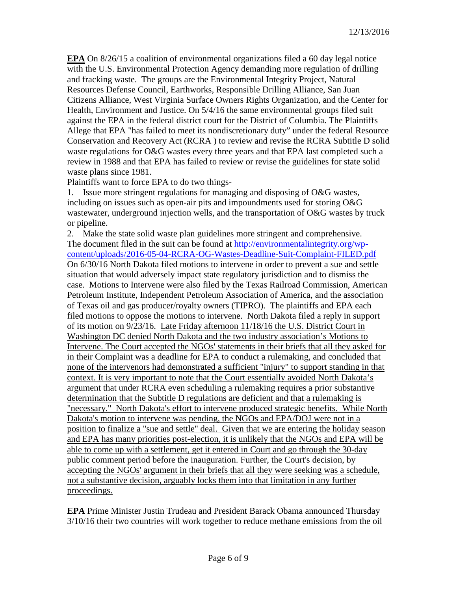**EPA** On 8/26/15 a coalition of environmental organizations filed a 60 day legal notice with the U.S. Environmental Protection Agency demanding more regulation of drilling and fracking waste. The groups are the Environmental Integrity Project, Natural Resources Defense Council, Earthworks, Responsible Drilling Alliance, San Juan Citizens Alliance, West Virginia Surface Owners Rights Organization, and the Center for Health, Environment and Justice. On 5/4/16 the same environmental groups filed suit against the EPA in the federal district court for the District of Columbia. The Plaintiffs Allege that EPA "has failed to meet its nondiscretionary duty" under the federal Resource Conservation and Recovery Act (RCRA ) to review and revise the RCRA Subtitle D solid waste regulations for O&G wastes every three years and that EPA last completed such a review in 1988 and that EPA has failed to review or revise the guidelines for state solid waste plans since 1981.

Plaintiffs want to force EPA to do two things-

1. Issue more stringent regulations for managing and disposing of O&G wastes, including on issues such as open-air pits and impoundments used for storing O&G wastewater, underground injection wells, and the transportation of O&G wastes by truck or pipeline.

2. Make the state solid waste plan guidelines more stringent and comprehensive. The document filed in the suit can be found at [http://environmentalintegrity.org/wp](http://environmentalintegrity.org/wp-content/uploads/2016-05-04-RCRA-OG-Wastes-Deadline-Suit-Complaint-FILED.pdf)[content/uploads/2016-05-04-RCRA-OG-Wastes-Deadline-Suit-Complaint-FILED.pdf](http://environmentalintegrity.org/wp-content/uploads/2016-05-04-RCRA-OG-Wastes-Deadline-Suit-Complaint-FILED.pdf) On 6/30/16 North Dakota filed motions to intervene in order to prevent a sue and settle situation that would adversely impact state regulatory jurisdiction and to dismiss the case. Motions to Intervene were also filed by the Texas Railroad Commission, American Petroleum Institute, Independent Petroleum Association of America, and the association of Texas oil and gas producer/royalty owners (TIPRO). The plaintiffs and EPA each filed motions to oppose the motions to intervene. North Dakota filed a reply in support of its motion on 9/23/16. Late Friday afternoon 11/18/16 the U.S. District Court in Washington DC denied North Dakota and the two industry association's Motions to Intervene. The Court accepted the NGOs' statements in their briefs that all they asked for in their Complaint was a deadline for EPA to conduct a rulemaking, and concluded that none of the intervenors had demonstrated a sufficient "injury" to support standing in that context. It is very important to note that the Court essentially avoided North Dakota's argument that under RCRA even scheduling a rulemaking requires a prior substantive determination that the Subtitle D regulations are deficient and that a rulemaking is "necessary." North Dakota's effort to intervene produced strategic benefits. While North Dakota's motion to intervene was pending, the NGOs and EPA/DOJ were not in a position to finalize a "sue and settle" deal. Given that we are entering the holiday season and EPA has many priorities post-election, it is unlikely that the NGOs and EPA will be able to come up with a settlement, get it entered in Court and go through the 30-day public comment period before the inauguration. Further, the Court's decision, by accepting the NGOs' argument in their briefs that all they were seeking was a schedule, not a substantive decision, arguably locks them into that limitation in any further proceedings.

**EPA** Prime Minister Justin Trudeau and President Barack Obama announced Thursday 3/10/16 their two countries will work together to reduce methane emissions from the oil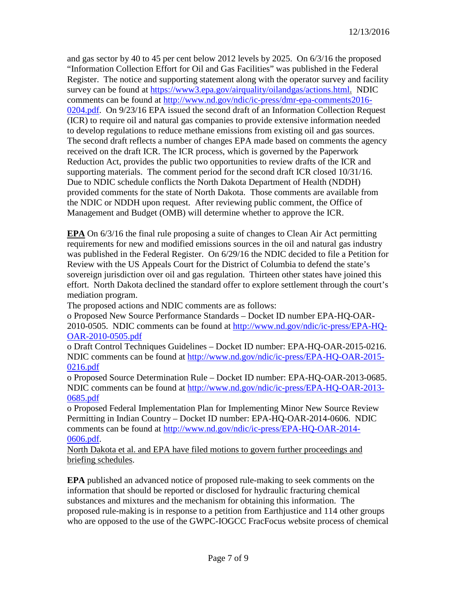and gas sector by 40 to 45 per cent below 2012 levels by 2025. On 6/3/16 the proposed "Information Collection Effort for Oil and Gas Facilities" was published in the Federal Register. The notice and supporting statement along with the operator survey and facility survey can be found at [https://www3.epa.gov/airquality/oilandgas/actions.html.](https://www3.epa.gov/airquality/oilandgas/actions.html) NDIC comments can be found at [http://www.nd.gov/ndic/ic-press/dmr-epa-comments2016-](http://www.nd.gov/ndic/ic-press/dmr-epa-comments2016-0204.pdf) [0204.pdf.](http://www.nd.gov/ndic/ic-press/dmr-epa-comments2016-0204.pdf) On 9/23/16 EPA issued the second draft of an Information Collection Request (ICR) to require oil and natural gas companies to provide extensive information needed to develop regulations to reduce methane emissions from existing oil and gas sources. The second draft reflects a number of changes EPA made based on comments the agency received on the draft ICR. The ICR process, which is governed by the Paperwork Reduction Act, provides the public two opportunities to review drafts of the ICR and supporting materials. The comment period for the second draft ICR closed 10/31/16. Due to NDIC schedule conflicts the North Dakota Department of Health (NDDH) provided comments for the state of North Dakota. Those comments are available from the NDIC or NDDH upon request. After reviewing public comment, the Office of Management and Budget (OMB) will determine whether to approve the ICR.

**EPA** On 6/3/16 the final rule proposing a suite of changes to Clean Air Act permitting requirements for new and modified emissions sources in the oil and natural gas industry was published in the Federal Register. On 6/29/16 the NDIC decided to file a Petition for Review with the US Appeals Court for the District of Columbia to defend the state's sovereign jurisdiction over oil and gas regulation. Thirteen other states have joined this effort. North Dakota declined the standard offer to explore settlement through the court's mediation program.

The proposed actions and NDIC comments are as follows:

o Proposed New Source Performance Standards – Docket ID number EPA-HQ-OAR-2010-0505. NDIC comments can be found at [http://www.nd.gov/ndic/ic-press/EPA-HQ-](http://www.nd.gov/ndic/ic-press/EPA-HQ-OAR-2010-0505.pdf)[OAR-2010-0505.pdf](http://www.nd.gov/ndic/ic-press/EPA-HQ-OAR-2010-0505.pdf)

o Draft Control Techniques Guidelines – Docket ID number: EPA-HQ-OAR-2015-0216. NDIC comments can be found at [http://www.nd.gov/ndic/ic-press/EPA-HQ-OAR-2015-](http://www.nd.gov/ndic/ic-press/EPA-HQ-OAR-2015-0216.pdf) [0216.pdf](http://www.nd.gov/ndic/ic-press/EPA-HQ-OAR-2015-0216.pdf)

o Proposed Source Determination Rule – Docket ID number: EPA-HQ-OAR-2013-0685. NDIC comments can be found at [http://www.nd.gov/ndic/ic-press/EPA-HQ-OAR-2013-](http://www.nd.gov/ndic/ic-press/EPA-HQ-OAR-2013-0685.pdf) [0685.pdf](http://www.nd.gov/ndic/ic-press/EPA-HQ-OAR-2013-0685.pdf)

o Proposed Federal Implementation Plan for Implementing Minor New Source Review Permitting in Indian Country – Docket ID number: EPA-HQ-OAR-2014-0606. NDIC comments can be found at [http://www.nd.gov/ndic/ic-press/EPA-HQ-OAR-2014-](http://www.nd.gov/ndic/ic-press/EPA-HQ-OAR-2014-0606.pdf) [0606.pdf.](http://www.nd.gov/ndic/ic-press/EPA-HQ-OAR-2014-0606.pdf)

North Dakota et al. and EPA have filed motions to govern further proceedings and briefing schedules.

**EPA** published an advanced notice of proposed rule-making to seek comments on the information that should be reported or disclosed for hydraulic fracturing chemical substances and mixtures and the mechanism for obtaining this information. The proposed rule-making is in response to a petition from Earthjustice and 114 other groups who are opposed to the use of the GWPC-IOGCC FracFocus website process of chemical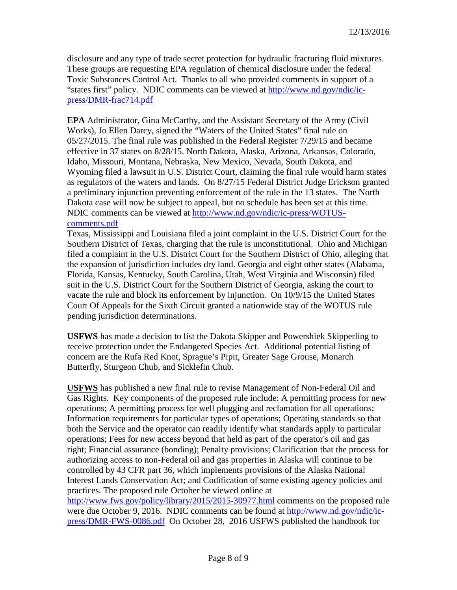disclosure and any type of trade secret protection for hydraulic fracturing fluid mixtures. These groups are requesting EPA regulation of chemical disclosure under the federal Toxic Substances Control Act. Thanks to all who provided comments in support of a "states first" policy. NDIC comments can be viewed at [http://www.nd.gov/ndic/ic](http://www.nd.gov/ndic/ic-press/DMR-frac714.pdf)[press/DMR-frac714.pdf](http://www.nd.gov/ndic/ic-press/DMR-frac714.pdf)

**EPA** Administrator, Gina McCarthy, and the Assistant Secretary of the Army (Civil Works), Jo Ellen Darcy, signed the "Waters of the United States" final rule on 05/27/2015. The final rule was published in the Federal Register 7/29/15 and became effective in 37 states on 8/28/15. North Dakota, Alaska, Arizona, Arkansas, Colorado, Idaho, Missouri, Montana, Nebraska, New Mexico, Nevada, South Dakota, and Wyoming filed a lawsuit in U.S. District Court, claiming the final rule would harm states as regulators of the waters and lands. On 8/27/15 Federal District Judge Erickson granted a preliminary injunction preventing enforcement of the rule in the 13 states. The North Dakota case will now be subject to appeal, but no schedule has been set at this time. NDIC comments can be viewed at [http://www.nd.gov/ndic/ic-press/WOTUS](http://www.nd.gov/ndic/ic-press/WOTUS-comments.pdf)[comments.pdf](http://www.nd.gov/ndic/ic-press/WOTUS-comments.pdf)

Texas, Mississippi and Louisiana filed a joint complaint in the U.S. District Court for the Southern District of Texas, charging that the rule is unconstitutional. Ohio and Michigan filed a complaint in the U.S. District Court for the Southern District of Ohio, alleging that the expansion of jurisdiction includes dry land. Georgia and eight other states (Alabama, Florida, Kansas, Kentucky, South Carolina, Utah, West Virginia and Wisconsin) filed suit in the U.S. District Court for the Southern District of Georgia, asking the court to vacate the rule and block its enforcement by injunction. On 10/9/15 the United States Court Of Appeals for the Sixth Circuit granted a nationwide stay of the WOTUS rule pending jurisdiction determinations.

**USFWS** has made a decision to list the Dakota Skipper and Powershiek Skipperling to receive protection under the Endangered Species Act. Additional potential listing of concern are the Rufa Red Knot, Sprague's Pipit, Greater Sage Grouse, Monarch Butterfly, Sturgeon Chub, and Sicklefin Chub.

**USFWS** has published a new final rule to revise Management of Non-Federal Oil and Gas Rights. Key components of the proposed rule include: A permitting process for new operations; A permitting process for well plugging and reclamation for all operations; Information requirements for particular types of operations; Operating standards so that both the Service and the operator can readily identify what standards apply to particular operations; Fees for new access beyond that held as part of the operator's oil and gas right; Financial assurance (bonding); Penalty provisions; Clarification that the process for authorizing access to non-Federal oil and gas properties in Alaska will continue to be controlled by 43 CFR part 36, which implements provisions of the Alaska National Interest Lands Conservation Act; and Codification of some existing agency policies and practices. The proposed rule October be viewed online at

<http://www.fws.gov/policy/library/2015/2015-30977.html> comments on the proposed rule were due October 9, 2016. NDIC comments can be found at [http://www.nd.gov/ndic/ic](http://www.nd.gov/ndic/ic-press/DMR-FWS-0086.pdf)[press/DMR-FWS-0086.pdf](http://www.nd.gov/ndic/ic-press/DMR-FWS-0086.pdf) On October 28, 2016 USFWS published the handbook for